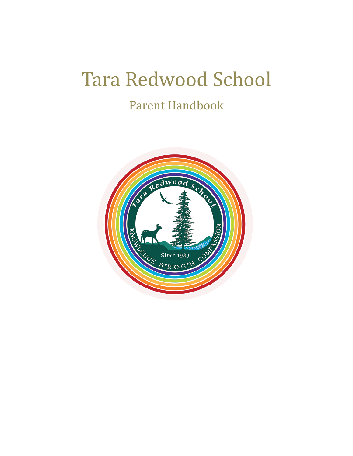# Tara Redwood School

## Parent Handbook

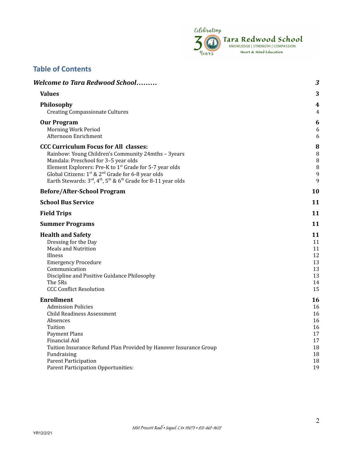

## **Table of Contents**

| <b>Welcome to Tara Redwood School</b>                                                                                                                                                                                                                                                                                                                                                                              | 3                                                              |
|--------------------------------------------------------------------------------------------------------------------------------------------------------------------------------------------------------------------------------------------------------------------------------------------------------------------------------------------------------------------------------------------------------------------|----------------------------------------------------------------|
| <b>Values</b>                                                                                                                                                                                                                                                                                                                                                                                                      | 3                                                              |
| Philosophy<br><b>Creating Compassionate Cultures</b>                                                                                                                                                                                                                                                                                                                                                               | 4<br>4                                                         |
| <b>Our Program</b><br>Morning Work Period<br>Afternoon Enrichment                                                                                                                                                                                                                                                                                                                                                  | 6<br>6<br>6                                                    |
| <b>CCC Curriculum Focus for All classes:</b><br>Rainbow: Young Children's Community 24mths - 3years<br>Mandala: Preschool for 3-5 year olds<br>Element Explorers: Pre-K to 1 <sup>st</sup> Grade for 5-7 year olds<br>Global Citizens: 1 <sup>st</sup> & 2 <sup>nd</sup> Grade for 6-8 year olds<br>Earth Stewards: $3^{\text{rd}}$ , $4^{\text{th}}$ , $5^{\text{th}}$ & $6^{\text{th}}$ Grade for 8-11 year olds | 8<br>8<br>$\, 8$<br>$\, 8$<br>9<br>9                           |
| <b>Before/After-School Program</b>                                                                                                                                                                                                                                                                                                                                                                                 | 10                                                             |
| <b>School Bus Service</b>                                                                                                                                                                                                                                                                                                                                                                                          | 11                                                             |
| <b>Field Trips</b>                                                                                                                                                                                                                                                                                                                                                                                                 | 11                                                             |
| <b>Summer Programs</b>                                                                                                                                                                                                                                                                                                                                                                                             | 11                                                             |
| <b>Health and Safety</b><br>Dressing for the Day<br><b>Meals and Nutrition</b><br>Illness<br><b>Emergency Procedure</b><br>Communication<br>Discipline and Positive Guidance Philosophy<br>The 5Rs<br><b>CCC Conflict Resolution</b>                                                                                                                                                                               | 11<br>11<br>11<br>12<br>13<br>13<br>13<br>14<br>15             |
| <b>Enrollment</b><br><b>Admission Policies</b><br><b>Child Readiness Assessment</b><br>Absences<br>Tuition<br>Payment Plans<br>Financial Aid<br>Tuition Insurance Refund Plan Provided by Hanover Insurance Group<br>Fundraising<br>Parent Participation<br>Parent Participation Opportunities:                                                                                                                    | 16<br>16<br>16<br>16<br>16<br>17<br>17<br>18<br>18<br>18<br>19 |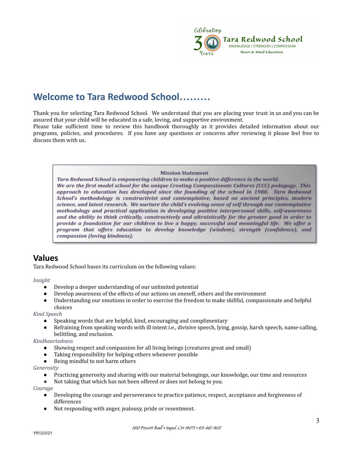

## <span id="page-2-0"></span>**Welcome to Tara Redwood School………**

Thank you for selecting Tara Redwood School. We understand that you are placing your trust in us and you can be assured that your child will be educated in a safe, loving, and supportive environment.

Please take sufficient time to review this handbook thoroughly as it provides detailed information about our programs, policies, and procedures. If you have any questions or concerns after reviewing it please feel free to discuss them with us.

**Mission Statement** 

<span id="page-2-1"></span>Tara Redwood School is empowering children to make a positive difference in the world. We are the first model school for the unique Creating Compassionate Cultures (CCC) pedagogy. This approach to education has developed since the founding of the school in 1988. Tara Redwood School's methodology is constructivist and contemplative, based on ancient principles, modern science, and latest research. We nurture the child's evolving sense of self through our contemplative methodology and practical application in developing positive interpersonal skills, self-awareness and the ability to think critically, constructively and altruistically for the greater good in order to provide a foundation for our children to live a happy, successful and meaningful life. We offer a program that offers education to develop knowledge (wisdom), strength (confidence), and compassion (loving kindness).

## **Values**

Tara Redwood School bases its curriculum on the following values:

*Insight*

- Develop a deeper understanding of our unlimited potential
- Develop awareness of the effects of our actions on oneself, others and the environment
- Understanding our emotions in order to exercise the freedom to make skillful, compassionate and helpful choices

*Kind Speech*

- Speaking words that are helpful, kind, encouraging and complimentary
- Refraining from speaking words with ill intent i.e., divisive speech, lying, gossip, harsh speech, name-calling, belittling, and exclusion.

*Kindheartedness*

- Showing respect and compassion for all living beings (creatures great and small)
- Taking responsibility for helping others whenever possible
- Being mindful to not harm others

*Generosity*

- Practicing generosity and sharing with our material belongings, our knowledge, our time and resources
- *●* Not taking that which has not been offered or does not belong to you*.*

*Courage*

- Developing the courage and perseverance to practice patience, respect, acceptance and forgiveness of differences
- Not responding with anger, jealousy, pride or resentment.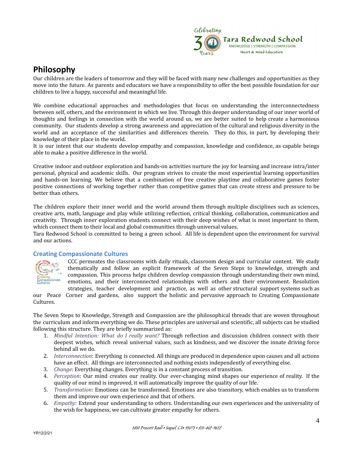

## <span id="page-3-0"></span>**Philosophy**

Our children are the leaders of tomorrow and they will be faced with many new challenges and opportunities as they move into the future. As parents and educators we have a responsibility to offer the best possible foundation for our children to live a happy, successful and meaningful life.

We combine educational approaches and methodologies that focus on understanding the interconnectedness between self, others, and the environment in which we live. Through this deeper understanding of our inner world of thoughts and feelings in connection with the world around us, we are better suited to help create a harmonious community. Our students develop a strong awareness and appreciation of the cultural and religious diversity in the world and an acceptance of the similarities and differences therein. They do this, in part, by developing their knowledge of their place in the world.

It is our intent that our students develop empathy and compassion, knowledge and confidence, as capable beings able to make a positive difference in the world.

Creative indoor and outdoor exploration and hands-on activities nurture the joy for learning and increase intra/inter personal, physical and academic skills. Our program strives to create the most experiential learning opportunities and hands-on learning. We believe that a combination of free creative playtime and collaborative games foster positive connections of working together rather than competitive games that can create stress and pressure to be better than others.

The children explore their inner world and the world around them through multiple disciplines such as sciences, creative arts, math, language and play while utilizing reflection, critical thinking, collaboration, communication and creativity. Through inner exploration students connect with their deep wishes of what is most important to them, which connect them to their local and global communities through universal values.

Tara Redwood School is committed to being a green school. All life is dependent upon the environment for survival and our actions.

#### <span id="page-3-1"></span>**Creating Compassionate Cultures**



CCC permeates the classrooms with daily rituals, classroom design and curricular content. We study thematically and follow an explicit framework of the Seven Steps to knowledge, strength and compassion. This process helps children develop compassion through understanding their own mind, emotions, and their interconnected relationships with others and their environment. Resolution strategies, teacher development and practice, as well as other structural support systems such as

our Peace Corner and gardens, also support the holistic and pervasive approach to Creating Compassionate Cultures.

The Seven Steps to Knowledge, Strength and Compassion are the philosophical threads that are woven throughout the curriculum and inform everything we do. These principles are universal and scientific, all subjects can be studied following this structure. They are briefly summarized as:

- 1. *Mindful Intention: What do I really want?* Through reflection and discussion children connect with their deepest wishes, which reveal universal values, such as kindness, and we discover the innate driving force behind all we do.
- 2. *Interconnection*: Everything is connected. All things are produced in dependence upon causes and all actions have an effect. All things are interconnected and nothing exists independently of everything else.
- 3. *Change*: Everything changes. Everything is in a constant process of transition.
- 4. *Perception*: Our mind creates our reality. Our ever-changing mind shapes our experience of reality. If the quality of our mind is improved, it will automatically improve the quality of our life.
- 5. *Transformation*: Emotions can be transformed. Emotions are also transitory, which enables us to transform them and improve our own experience and that of others.
- 6. *Empathy:* Extend your understanding to others. Understanding our own experiences and the universality of the wish for happiness, we can cultivate greater empathy for others.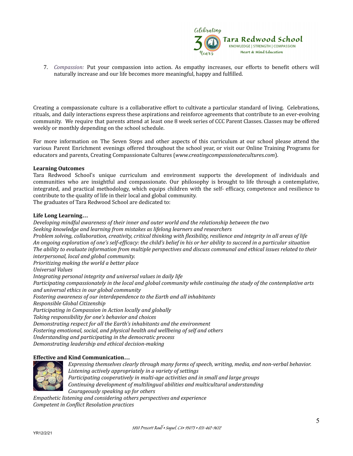

7. *Compassion:* Put your compassion into action. As empathy increases, our efforts to benefit others will naturally increase and our life becomes more meaningful, happy and fulfilled.

Creating a compassionate culture is a collaborative effort to cultivate a particular standard of living. Celebrations, rituals, and daily interactions express these aspirations and reinforce agreements that contribute to an ever-evolving community. We require that parents attend at least one 8 week series of CCC Parent Classes. Classes may be offered weekly or monthly depending on the school schedule.

For more information on The Seven Steps and other aspects of this curriculum at our school please attend the various Parent Enrichment evenings offered throughout the school year, or visit our Online Training Programs for educators and parents, Creating Compassionate Cultures (*[www.creatingcompassionatecultures.com](http://www.creatingcompassionatecultures.com)*).

#### **Learning Outcomes**

Tara Redwood School's unique curriculum and environment supports the development of individuals and communities who are insightful and compassionate. Our philosophy is brought to life through a contemplative, integrated, and practical methodology, which equips children with the self- efficacy, competence and resilience to contribute to the quality of life in their local and global community.

The graduates of Tara Redwood School are dedicated to:

#### **Life Long Learning…**

*Developing mindful awareness of their inner and outer world and the relationship between the two Seeking knowledge and learning from mistakes as lifelong learners and researchers* Problem solving, collaboration, creativity, critical thinking with flexibility, resilience and integrity in all areas of life An ongoing exploration of one's self-efficacy: the child's belief in his or her ability to succeed in a particular situation The ability to evaluate information from multiple perspectives and discuss communal and ethical issues related to their *interpersonal, local and global community. Prioritizing making the world a better place Universal Values Integrating personal integrity and universal values in daily life* Participating compassionately in the local and global community while continuing the study of the contemplative arts *and universal ethics in our global community Fostering awareness of our interdependence to the Earth and all inhabitants Responsible Global Citizenship Participating in Compassion in Action locally and globally Taking responsibility for one's behavior and choices Demonstrating respect for all the Earth's inhabitants and the environment Fostering emotional, social, and physical health and wellbeing of self and others Understanding and participating in the democratic process Demonstrating leadership and ethical decision-making*

#### **Effective and Kind Communication…**



*Expressing themselves clearly through many forms of speech, writing, media, and non-verbal behavior. Listening actively appropriately in a variety of settings Participating cooperatively in multi-age activities and in small and large groups Continuing development of multilingual abilities and multicultural understanding Courageously speaking up for others Empathetic listening and considering others perspectives and experience*

*Competent in Conflict Resolution practices*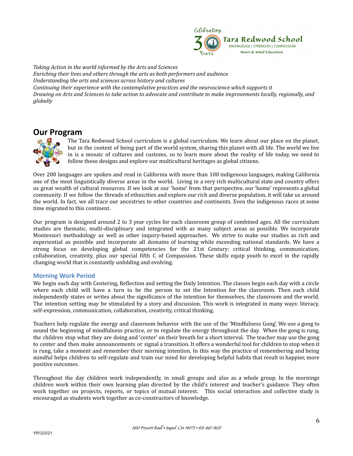

*Taking Action in the world informed by the Arts and Sciences Enriching their lives and others through the arts as both performers and audience Understanding the arts and sciences across history and cultures Continuing their experience with the contemplative practices and the neuroscience which supports it* Drawing on Arts and Sciences to take action to advocate and contribute to make improvements locally, regionally, and *globally*

## <span id="page-5-0"></span>**Our Program**



The Tara Redwood School curriculum is a global curriculum. We learn about our place on the planet, but in the context of being part of the world system, sharing this planet with all life. The world we live in is a mosaic of cultures and customs, so to learn more about the reality of life today, we need to follow those designs and explore our multicultural heritages as global citizens.

Over 200 languages are spoken and read in California with more than 100 indigenous languages, making California one of the most linguistically diverse areas in the world. Living in a very rich multicultural state and country offers us great wealth of cultural resources. If we look at our 'home' from that perspective, our 'home' represents a global community. If we follow the threads of ethnicities and explore our rich and diverse population, it will take us around the world. In fact, we all trace our ancestries to other countries and continents. Even the indigenous races at some time migrated to this continent.

Our program is designed around 2 to 3 year cycles for each classroom group of combined ages. All the curriculum studies are thematic, multi-disciplinary and integrated with as many subject areas as possible. We incorporate Montessori methodology as well as other inquiry-based approaches. We strive to make our studies as rich and experiential as possible and incorporate all domains of learning while exceeding national standards. We have a strong focus on developing global competencies for the 21st Century: critical thinking, communication, collaboration, creativity, plus our special fifth C of Compassion. These skills equip youth to excel in the rapidly changing world that is constantly unfolding and evolving.

#### <span id="page-5-1"></span>**Morning Work Period**

We begin each day with Centering, Reflection and setting the Daily Intention. The classes begin each day with a circle where each child will have a turn to be the person to set the Intention for the classroom. Then each child independently states or writes about the significance of the intention for themselves, the classroom and the world. The intention setting may be stimulated by a story and discussion. This work is integrated in many ways: literacy, self-expression, communication, collaboration, creativity, critical thinking.

Teachers help regulate the energy and classroom behavior with the use of the 'Mindfulness Gong'. We use a gong to sound the beginning of mindfulness practice, or to regulate the energy throughout the day. When the gong is rung, the children stop what they are doing and 'center' on their breath for a short interval. The teacher may use the gong to center and then make announcements or signal a transition. It offers a wonderful tool for children to stop when it is rung, take a moment and remember their morning intention. In this way the practice of remembering and being mindful helps children to self-regulate and train our mind for developing helpful habits that result in happier, more positive outcomes.

Throughout the day children work independently, in small groups and also as a whole group. In the mornings children work within their own learning plan directed by the child's interest and teacher's guidance. They often work together on projects, reports, or topics of mutual interest. This social interaction and collective study is encouraged as students work together as co-constructors of knowledge.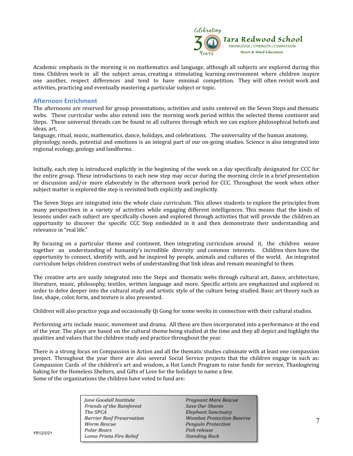

Academic emphasis in the morning is on mathematics and language, although all subjects are explored during this time. Children work in all the subject areas, creating a stimulating learning environment where children inspire one another, respect differences and tend to have minimal competition. They will often revisit work and activities, practicing and eventually mastering a particular subject or topic.

#### <span id="page-6-0"></span>**Afternoon Enrichment**

The afternoons are reserved for group presentations, activities and units centered on the Seven Steps and thematic webs. These curricular webs also extend into the morning work period within the selected theme continent and Steps. These universal threads can be found in all cultures through which we can explore philosophical beliefs and ideas, art,

language, ritual, music, mathematics, dance, holidays, and celebrations. The universality of the human anatomy, physiology, needs, potential and emotions is an integral part of our on-going studies. Science is also integrated into regional ecology, geology and landforms.

Initially, each step is introduced explicitly in the beginning of the week on a day specifically designated for CCC for the entire group. These introductions to each new step may occur during the morning circle in a brief presentation or discussion and/or more elaborately in the afternoon work period for CCC. Throughout the week when other subject matter is explored the step is revisited both explicitly and implicitly.

The Seven Steps are integrated into the whole class curriculum. This allows students to explore the principles from many perspectives in a variety of activities while engaging different intelligences. This means that the kinds of lessons under each subject are specifically chosen and explored through activities that will provide the children an opportunity to discover the specific CCC Step embedded in it and then demonstrate their understanding and relevance in "real life."

By focusing on a particular theme and continent, then integrating curriculum around it, the children weave together an understanding of humanity's incredible diversity and common interests. Children then have the opportunity to connect, identify with, and be inspired by people, animals and cultures of the world. An integrated curriculum helps children construct webs of understanding that link ideas and remain meaningful to them.

The creative arts are easily integrated into the Steps and thematic webs through cultural art, dance, architecture, literature, music, philosophy, textiles, written language and more. Specific artists are emphasized and explored in order to delve deeper into the cultural study and artistic style of the culture being studied. Basic art theory such as line, shape, color, form, and texture is also presented.

Children will also practice yoga and occasionally Qi Gong for some weeks in connection with their cultural studies.

Performing arts include music, movement and drama. All these are then incorporated into a performance at the end of the year. The plays are based on the cultural theme being studied at the time and they all depict and highlight the qualities and values that the children study and practice throughout the year.

There is a strong focus on Compassion in Action and all the thematic studies culminate with at least one compassion project. Throughout the year there are also several Social Service projects that the children engage in such as: Compassion Cards of the children's art and wisdom, a Hot Lunch Program to raise funds for service, Thanksgiving baking for the Homeless Shelters, and Gifts of Love for the holidays to name a few. Some of the organizations the children have voted to fund are:

> Jane Goodall Institute Friends of the Rainforest The SPCA **Barrier Reef Preservation** Worm Rescue **Polar Bears** Loma Prieta Fire Relief

**Pregnant Mare Rescue** Save Our Shores **Elephant Sanctuary Wombat Protection Reserve** Penguin Protection<br>Fish release **Standing Rock**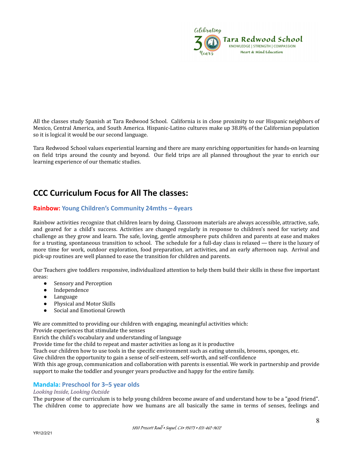

All the classes study Spanish at Tara Redwood School. California is in close proximity to our Hispanic neighbors of Mexico, Central America, and South America. Hispanic-Latino cultures make up 38.8% of the Californian population so it is logical it would be our second language.

Tara Redwood School values experiential learning and there are many enriching opportunities for hands-on learning on field trips around the county and beyond. Our field trips are all planned throughout the year to enrich our learning experience of our thematic studies.

## <span id="page-7-0"></span>**CCC Curriculum Focus for All The classes:**

#### <span id="page-7-1"></span>**Rainbow: Young Children's Community 24mths – 4years**

Rainbow activities recognize that children learn by doing. Classroom materials are always accessible, attractive, safe, and geared for a child's success. Activities are changed regularly in response to children's need for variety and challenge as they grow and learn. The safe, loving, gentle atmosphere puts children and parents at ease and makes for a trusting, spontaneous transition to school. The schedule for a full-day class is relaxed — there is the luxury of more time for work, outdoor exploration, food preparation, art activities, and an early afternoon nap. Arrival and pick-up routines are well planned to ease the transition for children and parents.

Our Teachers give toddlers responsive, individualized attention to help them build their skills in these five important areas:

- Sensory and Perception
- Independence
- Language
- Physical and Motor Skills
- Social and Emotional Growth

We are committed to providing our children with engaging, meaningful activities which:

Provide experiences that stimulate the senses

Enrich the child's vocabulary and understanding of language

Provide time for the child to repeat and master activities as long as it is productive

Teach our children how to use tools in the specific environment such as eating utensils, brooms, sponges, etc.

Give children the opportunity to gain a sense of self-esteem, self-worth, and self-confidence

With this age group, communication and collaboration with parents is essential. We work in partnership and provide support to make the toddler and younger years productive and happy for the entire family.

#### <span id="page-7-2"></span>**Mandala: Preschool for 3–5 year olds**

#### *Looking Inside, Looking Outside*

The purpose of the curriculum is to help young children become aware of and understand how to be a "good friend". The children come to appreciate how we humans are all basically the same in terms of senses, feelings and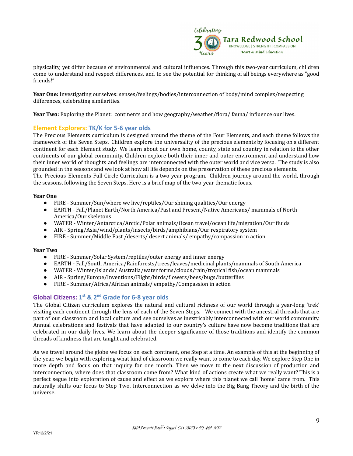

physicality, yet differ because of environmental and cultural influences. Through this two-year curriculum, children come to understand and respect differences, and to see the potential for thinking of all beings everywhere as "good friends!"

**Year One:** Investigating ourselves: senses/feelings/bodies/interconnection of body/mind complex/respecting differences, celebrating similarities.

<span id="page-8-0"></span>**Year Two:** Exploring the Planet: continents and how geography/weather/flora/ fauna/ influence our lives.

#### **Element Explorers: TK/K for 5-6 year olds**

The Precious Elements curriculum is designed around the theme of the Four Elements, and each theme follows the framework of the Seven Steps. Children explore the universality of the precious elements by focusing on a different continent for each Element study. We learn about our own home, county, state and country in relation to the other continents of our global community. Children explore both their inner and outer environment and understand how their inner world of thoughts and feelings are interconnected with the outer world and vice versa. The study is also grounded in the seasons and we look at how all life depends on the preservation of these precious elements. The Precious Elements Full Circle Curriculum is a two-year program. Children journey around the world, through the seasons, following the Seven Steps. Here is a brief map of the two-year thematic focus.

#### **Year One**

- FIRE Summer/Sun/where we live/reptiles/Our shining qualities/Our energy
- EARTH Fall/Planet Earth/North America/Past and Present/Native Americans/ mammals of North America/Our skeletons
- WATER Winter/Antarctica/Arctic/Polar animals/Ocean travel/ocean life/migration/Our fluids
- AIR Spring/Asia/wind/plants/insects/birds/amphibians/Our respiratory system
- FIRE Summer/Middle East /deserts/ desert animals/ empathy/compassion in action

#### **Year Two**

- FIRE Summer/Solar System/reptiles/outer energy and inner energy
- EARTH Fall/South America/Rainforests/trees/leaves/medicinal plants/mammals of South America
- WATER Winter/Islands/ Australia/water forms/clouds/rain/tropical fish/ocean mammals
- AIR Spring/Europe/Inventions/Flight/birds/flowers/bees/bugs/butterflies
- FIRE Summer/Africa/African animals/ empathy/Compassion in action

#### <span id="page-8-1"></span>**Global Citizens: 1 st & 2nd Grade for 6-8 year olds**

The Global Citizen curriculum explores the natural and cultural richness of our world through a year-long 'trek' visiting each continent through the lens of each of the Seven Steps. We connect with the ancestral threads that are part of our classroom and local culture and see ourselves as inextricably interconnected with our world community. Annual celebrations and festivals that have adapted to our country's culture have now become traditions that are celebrated in our daily lives. We learn about the deeper significance of those traditions and identify the common threads of kindness that are taught and celebrated.

As we travel around the globe we focus on each continent, one Step at a time. An example of this at the beginning of the year, we begin with exploring what kind of classroom we really want to come to each day. We explore Step One in more depth and focus on that inquiry for one month. Then we move to the next discussion of production and interconnection, where does that classroom come from? What kind of actions create what we really want? This is a perfect segue into exploration of cause and effect as we explore where this planet we call 'home' came from. This naturally shifts our focus to Step Two, Interconnection as we delve into the Big Bang Theory and the birth of the universe.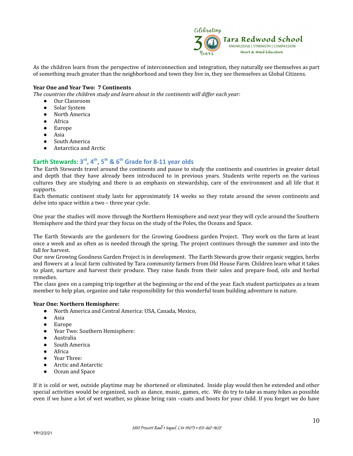

As the children learn from the perspective of interconnection and integration, they naturally see themselves as part of something much greater than the neighborhood and town they live in, they see themselves as Global Citizens.

#### **Year One and Year Two: 7 Continents**

*The countries the children study and learn about in the continents will dif er each year:*

- Our Classroom
- Solar System
- North America
- Africa
- Europe
- Asia
- South America
- Antarctica and Arctic

#### <span id="page-9-0"></span>**Earth Stewards: 3 rd , 4th , 5th & 6th Grade for 8-11 year olds**

The Earth Stewards travel around the continents and pause to study the continents and countries in greater detail and depth that they have already been introduced to in previous years. Students write reports on the various cultures they are studying and there is an emphasis on stewardship, care of the environment and all life that it supports.

Each thematic continent study lasts for approximately 14 weeks so they rotate around the seven continents and delve into space within a two – three year cycle.

One year the studies will move through the Northern Hemisphere and next year they will cycle around the Southern Hemisphere and the third year they focus on the study of the Poles, the Oceans and Space.

The Earth Stewards are the gardeners for the Growing Goodness garden Project. They work on the farm at least once a week and as often as is needed through the spring. The project continues through the summer and into the fall for harvest.

Our new Growing Goodness Garden Project is in development. The Earth Stewards grow their organic veggies, herbs and flowers at a local farm cultivated by Tara community farmers from Old House Farm. Children learn what it takes to plant, nurture and harvest their produce. They raise funds from their sales and prepare food, oils and herbal remedies.

The class goes on a camping trip together at the beginning or the end of the year. Each student participates as a team member to help plan, organize and take responsibility for this wonderful team building adventure in nature.

#### **Year One: Northern Hemisphere:**

- North America and Central America: USA, Canada, Mexico,
- Asia
- Europe
- Year Two: Southern Hemisphere:
- Australia
- South America
- Africa
- Year Three:
- Arctic and Antarctic
- Ocean and Space

If it is cold or wet, outside playtime may be shortened or eliminated. Inside play would then be extended and other special activities would be organized, such as dance, music, games, etc. We do try to take as many hikes as possible even if we have a lot of wet weather, so please bring rain –coats and boots for your child. If you forget we do have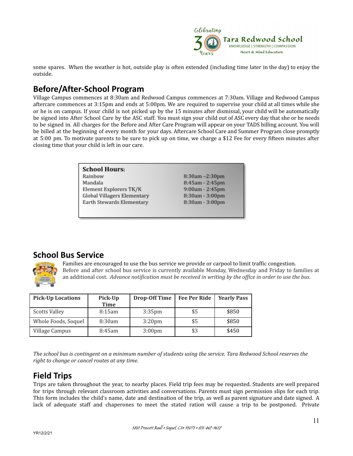

some spares. When the weather is hot, outside play is often extended (including time later in the day) to enjoy the outside.

## <span id="page-10-0"></span>**Before/After-School Program**

Village Campus commences at 8:30am and Redwood Campus commences at 7:30am. Village and Redwood Campus aftercare commences at 3:15pm and ends at 5:00pm. We are required to supervise your child at all times while she or he is on campus. If your child is not picked up by the 15 minutes after dismissal, your child will be automatically be signed into After School Care by the ASC staff. You must sign your child out of ASC every day that she or he needs to be signed in. All charges for the Before and After Care Program will appear on your TADS billing account. You will be billed at the beginning of every month for your days. Aftercare School Care and Summer Program close promptly at 5:00 pm. To motivate parents to be sure to pick up on time, we charge a \$12 Fee for every fifteen minutes after closing time that your child is left in our care.

> **School Hours:** Rainbow  $8:30am - 2:30pm$ Mandala 8:45am - 2:45pm Element Explorers TK/K 9:00am - 2:45pm Global Villagers Elementary 8:30am - 3:00pm Earth Stewards Elementary 8:30am - 3:00pm

## <span id="page-10-1"></span>**School Bus Service**



Families are encouraged to use the bus service we provide or carpool to limit traffic congestion. Before and after school bus service is currently available Monday, Wednesday and Friday to families at an additional cost. Advance notification must be received in writing by the office in order to use the bus.

| <b>Pick-Up Locations</b> | Pick-Up<br><b>Time</b> | <b>Drop-Off Time</b> | <b>Fee Per Ride</b> | <b>Yearly Pass</b> |
|--------------------------|------------------------|----------------------|---------------------|--------------------|
| <b>Scotts Valley</b>     | 8:15am                 | $3:35$ pm            | \$5                 | \$850              |
| Whole Foods, Soquel      | 8:30am                 | 3:20 <sub>pm</sub>   | \$5                 | \$850              |
| Village Campus           | 8:45am                 | 3:00 <sub>pm</sub>   | \$3                 | \$450              |

The school bus is contingent on a minimum number of students using the service. Tara Redwood School reserves the *right to change or cancel routes at any time.*

## <span id="page-10-2"></span>**Field Trips**

Trips are taken throughout the year, to nearby places. Field trip fees may be requested. Students are well prepared for trips through relevant classroom activities and conversations. Parents must sign permission slips for each trip. This form includes the child's name, date and destination of the trip, as well as parent signature and date signed. A lack of adequate staff and chaperones to meet the stated ration will cause a trip to be postponed. Private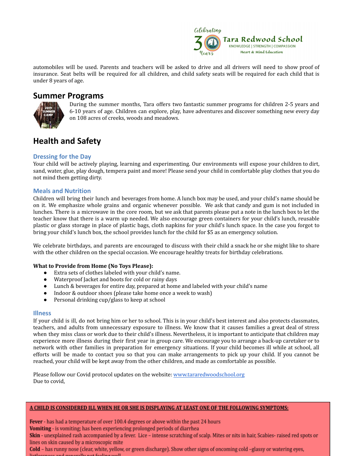

automobiles will be used. Parents and teachers will be asked to drive and all drivers will need to show proof of insurance. Seat belts will be required for all children, and child safety seats will be required for each child that is under 8 years of age.

#### <span id="page-11-0"></span>**Summer Programs**



During the summer months, Tara offers two fantastic summer programs for children 2-5 years and 6-10 years of age. Children can explore, play, have adventures and discover something new every day on 108 acres of creeks, woods and meadows.

## <span id="page-11-1"></span>**Health and Safety**

#### <span id="page-11-2"></span>**Dressing for the Day**

Your child will be actively playing, learning and experimenting. Our environments will expose your children to dirt, sand, water, glue, play dough, tempera paint and more! Please send your child in comfortable play clothes that you do not mind them getting dirty.

#### <span id="page-11-3"></span>**Meals and Nutrition**

Children will bring their lunch and beverages from home. A lunch box may be used, and your child's name should be on it. We emphasize whole grains and organic whenever possible. We ask that candy and gum is not included in lunches. There is a microwave in the core room, but we ask that parents please put a note in the lunch box to let the teacher know that there is a warm up needed. We also encourage green containers for your child's lunch, reusable plastic or glass storage in place of plastic bags, cloth napkins for your child's lunch space. In the case you forgot to bring your child's lunch box, the school provides lunch for the child for \$5 as an emergency solution.

We celebrate birthdays, and parents are encouraged to discuss with their child a snack he or she might like to share with the other children on the special occasion. We encourage healthy treats for birthday celebrations.

#### **What to Provide from Home (No Toys Please):**

- Extra sets of clothes labeled with your child's name.
- Waterproof Jacket and boots for cold or rainy days
- Lunch & beverages for entire day, prepared at home and labeled with your child's name
- Indoor & outdoor shoes (please take home once a week to wash)
- Personal drinking cup/glass to keep at school

#### <span id="page-11-4"></span>**Illness**

If your child is ill, do not bring him or her to school. This is in your child's best interest and also protects classmates, teachers, and adults from unnecessary exposure to illness. We know that it causes families a great deal of stress when they miss class or work due to their child's illness. Nevertheless, it is important to anticipate that children may experience more illness during their first year in group care. We encourage you to arrange a back-up caretaker or to network with other families in preparation for emergency situations. If your child becomes ill while at school, all efforts will be made to contact you so that you can make arrangements to pick up your child. If you cannot be reached, your child will be kept away from the other children, and made as comfortable as possible.

Please follow our Covid protocol updates on the website: [www.tararedwoodschool.org](http://www.tararedwoodschool.org) Due to covid,

#### A CHILD IS CONSIDERED ILL WHEN HE OR SHE IS DISPLAYING AT LEAST ONE OF THE FOLLOWING SYMPTOMS:

Fever - has had a temperature of over 100.4 degrees or above within the past 24 hours

Vomiting - is vomiting; has been experiencing prolonged periods of diarrhea

Skin - unexplained rash accompanied by a fever. Lice - intense scratching of scalp. Mites or nits in hair, Scabies- raised red spots or lines on skin caused by a microscopic mite

Cold - has runny nose (clear, white, yellow, or green discharge). Show other signs of oncoming cold -glassy or watering eyes, وبالمستراة والمستورة والمستورة والمستنبذ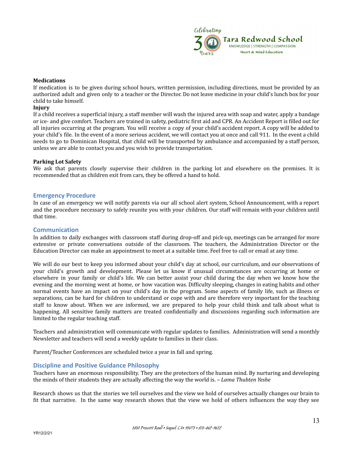

#### **Medications**

If medication is to be given during school hours, written permission, including directions, must be provided by an authorized adult and given only to a teacher or the Director. Do not leave medicine in your child's lunch box for your child to take himself.

#### **Injury**

If a child receives a superficial injury, a staff member will wash the injured area with soap and water, apply a bandage or ice- and give comfort. Teachers are trained in safety, pediatric first aid and CPR. An Accident Report is filled out for all injuries occurring at the program. You will receive a copy of your child's accident report. A copy will be added to your child's file. In the event of a more serious accident, we will contact you at once and call 911. In the event a child needs to go to Dominican Hospital, that child will be transported by ambulance and accompanied by a staff person, unless we are able to contact you and you wish to provide transportation.

#### **Parking Lot Safety**

We ask that parents closely supervise their children in the parking lot and elsewhere on the premises. It is recommended that as children exit from cars, they be offered a hand to hold.

#### <span id="page-12-0"></span>**Emergency Procedure**

In case of an emergency we will notify parents via our all school alert system, School Announcement, with a report and the procedure necessary to safely reunite you with your children. Our staff will remain with your children until that time.

#### <span id="page-12-1"></span>**Communication**

In addition to daily exchanges with classroom staff during drop-off and pick-up, meetings can be arranged for more extensive or private conversations outside of the classroom. The teachers, the Administration Director or the Education Director can make an appointment to meet at a suitable time. Feel free to call or email at any time.

We will do our best to keep you informed about your child's day at school, our curriculum, and our observations of your child's growth and development. Please let us know if unusual circumstances are occurring at home or elsewhere in your family or child's life. We can better assist your child during the day when we know how the evening and the morning went at home, or how vacation was. Difficulty sleeping, changes in eating habits and other normal events have an impact on your child's day in the program. Some aspects of family life, such as illness or separations, can be hard for children to understand or cope with and are therefore very important for the teaching staff to know about. When we are informed, we are prepared to help your child think and talk about what is happening. All sensitive family matters are treated confidentially and discussions regarding such information are limited to the regular teaching staff.

Teachers and administration will communicate with regular updates to families. Administration will send a monthly Newsletter and teachers will send a weekly update to families in their class.

<span id="page-12-2"></span>Parent/Teacher Conferences are scheduled twice a year in fall and spring.

#### **Discipline and Positive Guidance Philosophy**

Teachers have an enormous responsibility. They are the protectors of the human mind. By nurturing and developing the minds of their students they are actually affecting the way the world is. – *Lama Thubten Yeshe*

Research shows us that the stories we tell ourselves and the view we hold of ourselves actually changes our brain to fit that narrative. In the same way research shows that the view we hold of others influences the way they see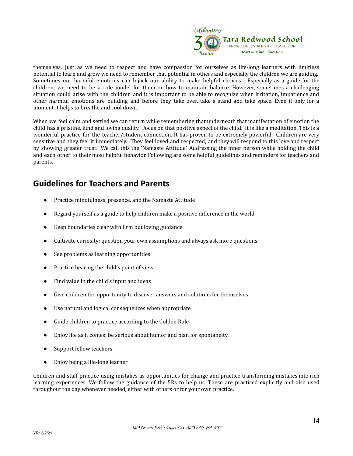

themselves. Just as we need to respect and have compassion for ourselves as life-long learners with limitless potential to learn and grow we need to remember that potential in others and especially the children we are guiding. Sometimes our harmful emotions can hijack our ability to make helpful choices. Especially as a guide for the children, we need to be a role model for them on how to maintain balance. However, sometimes a challenging situation could arise with the children and it is important to be able to recognize when irritation, impatience and other harmful emotions are building and before they take over, take a stand and take space. Even if only for a moment it helps to breathe and cool down.

When we feel calm and settled we can return while remembering that underneath that manifestation of emotion the child has a pristine, kind and loving quality. Focus on that positive aspect of the child. It is like a meditation. This is a wonderful practice for the teacher/student connection. It has proven to be extremely powerful. Children are very sensitive and they feel it immediately. They feel loved and respected, and they will respond to this love and respect by showing greater trust. We call this the 'Namaste Attitude'. Addressing the inner person while holding the child and each other to their most helpful behavior. Following are some helpful guidelines and reminders for teachers and parents.

## **Guidelines for Teachers and Parents**

- **●** Practice mindfulness, presence, and the Namaste Attitude
- Regard yourself as a guide to help children make a positive difference in the world
- Keep boundaries clear with firm but loving guidance
- Cultivate curiosity: question your own assumptions and always ask more questions
- See problems as learning opportunities
- Practice hearing the child's point of view
- Find value in the child's input and ideas
- Give children the opportunity to discover answers and solutions for themselves
- Use natural and logical consequences when appropriate
- Guide children to practice according to the Golden Rule
- Enjoy life as it comes: be serious about humor and plan for spontaneity
- Support fellow teachers
- Enjoy being a life-long learner

Children and staff practice using mistakes as opportunities for change and practice transforming mistakes into rich learning experiences. We follow the guidance of the 5Rs to help us. These are practiced explicitly and also used throughout the day whenever needed, either with others or for your own practice.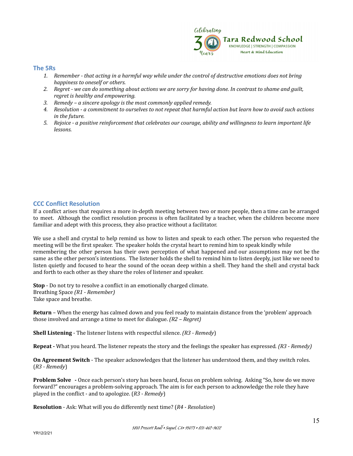

#### <span id="page-14-0"></span>**The 5Rs**

- 1. Remember that acting in a harmful way while under the control of destructive emotions does not bring *happiness to oneself or others.*
- 2. Regret we can do something about actions we are sorry for having done. In contrast to shame and guilt, *regret is healthy and empowering.*
- *3. Remedy – a sincere apology is the most commonly applied remedy.*
- 4. Resolution a commitment to ourselves to not repeat that harmful action but learn how to avoid such actions *in the future.*
- 5. Rejoice a positive reinforcement that celebrates our courage, ability and willingness to learn important life *lessons.*

#### <span id="page-14-1"></span>**CCC Conflict Resolution**

If a conflict arises that requires a more in-depth meeting between two or more people, then a time can be arranged to meet. Although the conflict resolution process is often facilitated by a teacher, when the children become more familiar and adept with this process, they also practice without a facilitator.

We use a shell and crystal to help remind us how to listen and speak to each other. The person who requested the meeting will be the first speaker. The speaker holds the crystal heart to remind him to speak kindly while remembering the other person has their own perception of what happened and our assumptions may not be the same as the other person's intentions. The listener holds the shell to remind him to listen deeply, just like we need to listen quietly and focused to hear the sound of the ocean deep within a shell. They hand the shell and crystal back and forth to each other as they share the roles of listener and speaker.

**Stop** - Do not try to resolve a conflict in an emotionally charged climate. Breathing Space *(R1 - Remember)* Take space and breathe.

**Return** – When the energy has calmed down and you feel ready to maintain distance from the 'problem' approach those involved and arrange a time to meet for dialogue. *(R2 – Regret)*

**Shell Listening** - The listener listens with respectful silence. *(R3 - Remedy*)

**Repeat -** What you heard. The listener repeats the story and the feelings the speaker has expressed*. (R3 - Remedy)*

**On Agreement Switch** - The speaker acknowledges that the listener has understood them, and they switch roles. (*R3 - Remedy*)

**Problem Solve -** Once each person's story has been heard, focus on problem solving. Asking "So, how do we move forward?" encourages a problem-solving approach. The aim is for each person to acknowledge the role they have played in the conflict - and to apologize. (*R3 - Remedy*)

**Resolution** - Ask: What will you do differently next time? (*R4 - Resolution*)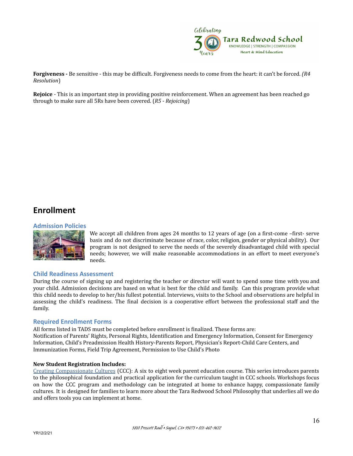

**Forgiveness -** Be sensitive - this may be difficult. Forgiveness needs to come from the heart: it can't be forced. *(R4 Resolution*)

**Rejoice** - This is an important step in providing positive reinforcement. When an agreement has been reached go through to make sure all 5Rs have been covered. (*R5 - Rejoicing*)

## <span id="page-15-0"></span>**Enrollment**

#### <span id="page-15-1"></span>**Admission Policies**



We accept all children from ages 24 months to 12 years of age (on a first-come –first- serve basis and do not discriminate because of race, color, religion, gender or physical ability). Our program is not designed to serve the needs of the severely disadvantaged child with special needs; however, we will make reasonable accommodations in an effort to meet everyone's needs.

#### <span id="page-15-2"></span>**Child Readiness Assessment**

During the course of signing up and registering the teacher or director will want to spend some time with you and your child. Admission decisions are based on what is best for the child and family. Can this program provide what this child needs to develop to her/his fullest potential. Interviews, visits to the School and observations are helpful in assessing the child's readiness. The final decision is a cooperative effort between the professional staff and the family.

#### **Required Enrollment Forms**

All forms listed in TADS must be completed before enrollment is finalized. These forms are: Notification of Parents' Rights, Personal Rights, Identification and Emergency Information, Consent for Emergency Information, Child's Preadmission Health History-Parents Report, Physician's Report-Child Care Centers, and Immunization Forms, Field Trip Agreement, Permission to Use Child's Photo

#### **New Student Registration Includes:**

Creating Compassionate Cultures (CCC): A six to eight week parent education course. This series introduces parents to the philosophical foundation and practical application for the curriculum taught in CCC schools. Workshops focus on how the CCC program and methodology can be integrated at home to enhance happy, compassionate family cultures. It is designed for families to learn more about the Tara Redwood School Philosophy that underlies all we do and offers tools you can implement at home.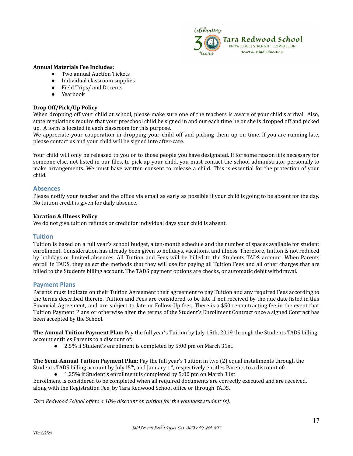

#### **Annual Materials Fee Includes:**

- Two annual Auction Tickets
- Individual classroom supplies
- Field Trips/ and Docents
- Yearbook

#### **Drop Off/Pick/Up Policy**

When dropping off your child at school, please make sure one of the teachers is aware of your child's arrival. Also, state regulations require that your preschool child be signed in and out each time he or she is dropped off and picked up. A form is located in each classroom for this purpose.

We appreciate your cooperation in dropping your child off and picking them up on time. If you are running late, please contact us and your child will be signed into after-care.

Your child will only be released to you or to those people you have designated. If for some reason it is necessary for someone else, not listed in our files, to pick up your child, you must contact the school administrator personally to make arrangements. We must have written consent to release a child. This is essential for the protection of your child.

#### <span id="page-16-0"></span>**Absences**

Please notify your teacher and the office via email as early as possible if your child is going to be absent for the day. No tuition credit is given for daily absence.

#### **Vacation & Illness Policy**

<span id="page-16-1"></span>We do not give tuition refunds or credit for individual days your child is absent.

#### **Tuition**

Tuition is based on a full year's school budget, a ten-month schedule and the number of spaces available for student enrollment. Consideration has already been given to holidays, vacations, and illness. Therefore, tuition is not reduced by holidays or limited absences. All Tuition and Fees will be billed to the Students TADS account. When Parents enroll in TADS, they select the methods that they will use for paying all Tuition Fees and all other charges that are billed to the Students billing account. The TADS payment options are checks, or automatic debit withdrawal.

#### <span id="page-16-2"></span>**Payment Plans**

Parents must indicate on their Tuition Agreement their agreement to pay Tuition and any required Fees according to the terms described therein. Tuition and Fees are considered to be late if not received by the due date listed in this Financial Agreement, and are subject to late or Follow-Up fees. There is a \$50 re-contracting fee in the event that Tuition Payment Plans or otherwise alter the terms of the Student's Enrollment Contract once a signed Contract has been accepted by the School.

**The Annual Tuition Payment Plan:** Pay the full year's Tuition by July 15th, 2019 through the Students TADS billing account entitles Parents to a discount of:

2.5% if Student's enrollment is completed by 5:00 pm on March 31st.

**The Semi-Annual Tuition Payment Plan:** Pay the full year's Tuition in two (2) equal installments through the Students TADS billing account by July15<sup>th</sup>, and January 1<sup>st</sup>, respectively entitles Parents to a discount of:

1.25% if Student's enrollment is completed by 5:00 pm on March 31st

Enrollment is considered to be completed when all required documents are correctly executed and are received, along with the Registration Fee, by Tara Redwood School office or through TADS.

*Tara Redwood School of ers a 10% discount on tuition for the youngest student (s).*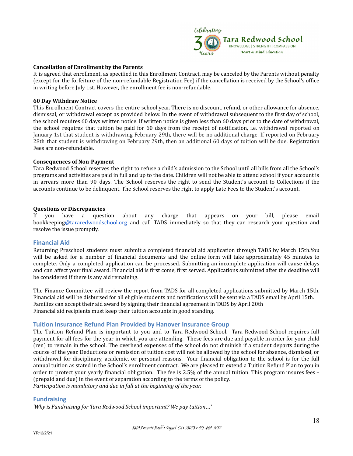

#### **Cancellation of Enrollment by the Parents**

It is agreed that enrollment, as specified in this Enrollment Contract, may be canceled by the Parents without penalty (except for the forfeiture of the non-refundable Registration Fee) if the cancellation is received by the School's office in writing before July 1st. However, the enrollment fee is non-refundable.

#### **60 Day Withdraw Notice**

This Enrollment Contract covers the entire school year. There is no discount, refund, or other allowance for absence, dismissal, or withdrawal except as provided below. In the event of withdrawal subsequent to the first day of school, the school requires 60 days written notice. If written notice is given less than 60 days prior to the date of withdrawal, the school requires that tuition be paid for 60 days from the receipt of notification, i.e. withdrawal reported on January 1st that student is withdrawing February 29th, there will be no additional charge. If reported on February 28th that student is withdrawing on February 29th, then an additional 60 days of tuition will be due. Registration Fees are non-refundable.

#### **Consequences of Non-Payment**

Tara Redwood School reserves the right to refuse a child's admission to the School until all bills from all the School's programs and activities are paid in full and up to the date. Children will not be able to attend school if your account is in arrears more than 90 days. The School reserves the right to send the Student's account to Collections if the accounts continue to be delinquent. The School reserves the right to apply Late Fees to the Student's account.

#### **Questions or Discrepancies**

If you have a question about any charge that appears on your bill, please email bookkeeping[@tararedwoodschool.org](mailto:Denice@tararedwoodschool.org) and call TADS immediately so that they can research your question and resolve the issue promptly.

#### <span id="page-17-0"></span>**Financial Aid**

Returning Preschool students must submit a completed financial aid application through TADS by March 15th.You will be asked for a number of financial documents and the online form will take approximately 45 minutes to complete. Only a completed application can be processed. Submitting an incomplete application will cause delays and can affect your final award. Financial aid is first come, first served. Applications submitted after the deadline will be considered if there is any aid remaining.

The Finance Committee will review the report from TADS for all completed applications submitted by March 15th. Financial aid will be disbursed for all eligible students and notifications will be sent via a TADS email by April 15th. Families can accept their aid award by signing their financial agreement in TADS by April 20th Financial aid recipients must keep their tuition accounts in good standing.

#### <span id="page-17-1"></span>**Tuition Insurance Refund Plan Provided by Hanover Insurance Group**

The Tuition Refund Plan is important to you and to Tara Redwood School. Tara Redwood School requires full payment for all fees for the year in which you are attending. These fees are due and payable in order for your child (ren) to remain in the school. The overhead expenses of the school do not diminish if a student departs during the course of the year. Deductions or remission of tuition cost will not be allowed by the school for absence, dismissal, or withdrawal for disciplinary, academic, or personal reasons. Your financial obligation to the school is for the full annual tuition as stated in the School's enrollment contract. We are pleased to extend a Tuition Refund Plan to you in order to protect your yearly financial obligation. The fee is 2.5% of the annual tuition. This program insures fees – (prepaid and due) in the event of separation according to the terms of the policy. *Participation is mandatory and due in full at the beginning of the year.*

#### <span id="page-17-2"></span>**Fundraising**

*'Why is Fundraising for Tara Redwood School important? We pay tuition…'*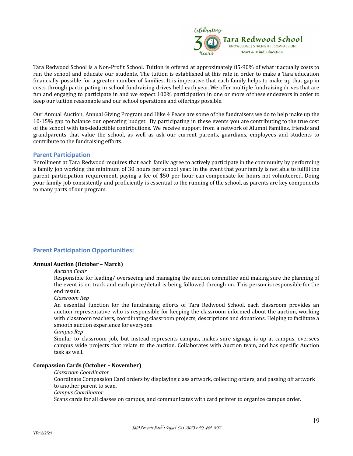

Tara Redwood School is a Non-Profit School. Tuition is offered at approximately 85-90% of what it actually costs to run the school and educate our students. The tuition is established at this rate in order to make a Tara education financially possible for a greater number of families. It is imperative that each family helps to make up that gap in costs through participating in school fundraising drives held each year. We offer multiple fundraising drives that are fun and engaging to participate in and we expect 100% participation in one or more of these endeavors in order to keep our tuition reasonable and our school operations and offerings possible.

Our Annual Auction, Annual Giving Program and Hike 4 Peace are some of the fundraisers we do to help make up the 10-15% gap to balance our operating budget. By participating in these events you are contributing to the true cost of the school with tax-deductible contributions. We receive support from a network of Alumni Families, friends and grandparents that value the school, as well as ask our current parents, guardians, employees and students to contribute to the fundraising efforts.

#### <span id="page-18-0"></span>**Parent Participation**

Enrollment at Tara Redwood requires that each family agree to actively participate in the community by performing a family job working the minimum of 30 hours per school year. In the event that your family is not able to fulfill the parent participation requirement, paying a fee of \$50 per hour can compensate for hours not volunteered. Doing your family job consistently and proficiently is essential to the running of the school, as parents are key components to many parts of our program.

#### **Parent Participation Opportunities:**

#### **Annual Auction (October – March)**

#### *Auction Chair*

Responsible for leading/ overseeing and managing the auction committee and making sure the planning of the event is on track and each piece/detail is being followed through on. This person is responsible for the end result.

*Classroom Rep*

An essential function for the fundraising efforts of Tara Redwood School, each classroom provides an auction representative who is responsible for keeping the classroom informed about the auction, working with classroom teachers, coordinating classroom projects, descriptions and donations. Helping to facilitate a smooth auction experience for everyone.

*Campus Rep*

Similar to classroom job, but instead represents campus, makes sure signage is up at campus, oversees campus wide projects that relate to the auction. Collaborates with Auction team, and has specific Auction task as well.

#### **Compassion Cards (October – November)**

#### *Classroom Coordinator*

Coordinate Compassion Card orders by displaying class artwork, collecting orders, and passing off artwork to another parent to scan.

#### *Campus Coordinator*

Scans cards for all classes on campus, and communicates with card printer to organize campus order.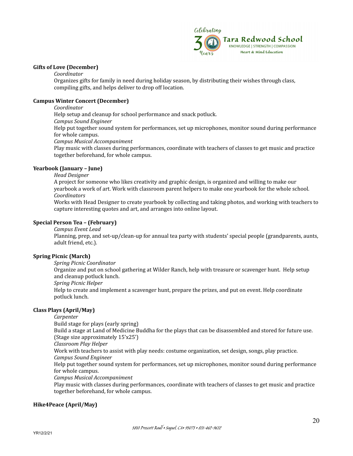

#### **Gifts of Love (December)**

*Coordinator*

Organizes gifts for family in need during holiday season, by distributing their wishes through class, compiling gifts, and helps deliver to drop off location.

#### **Campus Winter Concert (December)**

*Coordinator*

Help setup and cleanup for school performance and snack potluck.

*Campus Sound Engineer*

Help put together sound system for performances, set up microphones, monitor sound during performance for whole campus.

*Campus Musical Accompaniment*

Play music with classes during performances, coordinate with teachers of classes to get music and practice together beforehand, for whole campus.

#### **Yearbook (January – June)**

*Head Designer*

A project for someone who likes creativity and graphic design, is organized and willing to make our yearbook a work of art. Work with classroom parent helpers to make one yearbook for the whole school. *Coordinators*

Works with Head Designer to create yearbook by collecting and taking photos, and working with teachers to capture interesting quotes and art, and arranges into online layout.

#### **Special Person Tea – (February)**

*Campus Event Lead*

Planning, prep, and set-up/clean-up for annual tea party with students' special people (grandparents, aunts, adult friend, etc.).

#### **Spring Picnic (March)**

*Spring Picnic Coordinator*

Organize and put on school gathering at Wilder Ranch, help with treasure or scavenger hunt. Help setup and cleanup potluck lunch.

*Spring Picnic Helper*

Help to create and implement a scavenger hunt, prepare the prizes, and put on event. Help coordinate potluck lunch.

#### **Class Plays (April/May)**

*Carpenter*

Build stage for plays (early spring) Build a stage at Land of Medicine Buddha for the plays that can be disassembled and stored for future use. (Stage size approximately 15'x25')

*Classroom Play Helper*

Work with teachers to assist with play needs: costume organization, set design, songs, play practice.

*Campus Sound Engineer*

Help put together sound system for performances, set up microphones, monitor sound during performance for whole campus.

*Campus Musical Accompaniment*

Play music with classes during performances, coordinate with teachers of classes to get music and practice together beforehand, for whole campus.

#### **Hike4Peace (April/May)**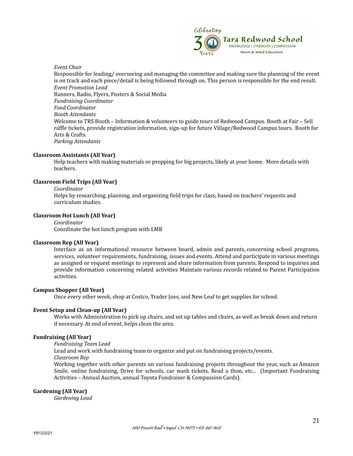

#### *Event Chair*

Responsible for leading/ overseeing and managing the committee and making sure the planning of the event is on track and each piece/detail is being followed through on. This person is responsible for the end result. *Event Promotion Lead* Banners, Radio, Flyers, Posters & Social Media *Fundraising Coordinator Food Coordinator Booth Attendants* Welcome to TRS Booth – Information & volunteers to guide tours of Redwood Campus. Booth at Fair – Sell raffle tickets, provide registration information, sign-up for future Village/Redwood Campus tours. Booth for Arts & Crafts. *Parking Attendants*

#### **Classroom Assistants (All Year)**

Help teachers with making materials or prepping for big projects, likely at your home. More details with teachers.

#### **Classroom Field Trips (All Year)**

#### *Coordinator*

Helps by researching, planning, and organizing field trips for class, based on teachers' requests and curriculum studies.

#### **Classroom Hot Lunch (All Year)**

*Coordinator* Coordinate the hot lunch program with LMB

#### **Classroom Rep (All Year)**

Interface as an informational resource between board, admin and parents, concerning school programs, services, volunteer requirements, fundraising, issues and events. Attend and participate in various meetings as assigned or request meetings to represent and share information from parents. Respond to inquiries and provide information concerning related activities Maintain various records related to Parent Participation activities.

#### **Campus Shopper (All Year)**

Once every other week, shop at Costco, Trader Joes, and New Leaf to get supplies for school.

#### **Event Setup and Clean-up (All Year)**

Works with Administration to pick up chairs, and set up tables and chairs, as well as break down and return if necessary. At end of event, helps clean the area.

#### **Fundraising (All Year)**

*Fundraising Team Lead*

Lead and work with fundraising team to organize and put on fundraising projects/events.

*Classroom Rep*

Working together with other parents on various fundraising projects throughout the year, such as Amazon Smile, online fundraising, Drive for schools, car wash tickets, Read a thon, etc... (Important Fundraising Activities – Annual Auction, annual Toyota Fundraiser & Compassion Cards).

#### **Gardening (All Year)**

*Gardening Lead*